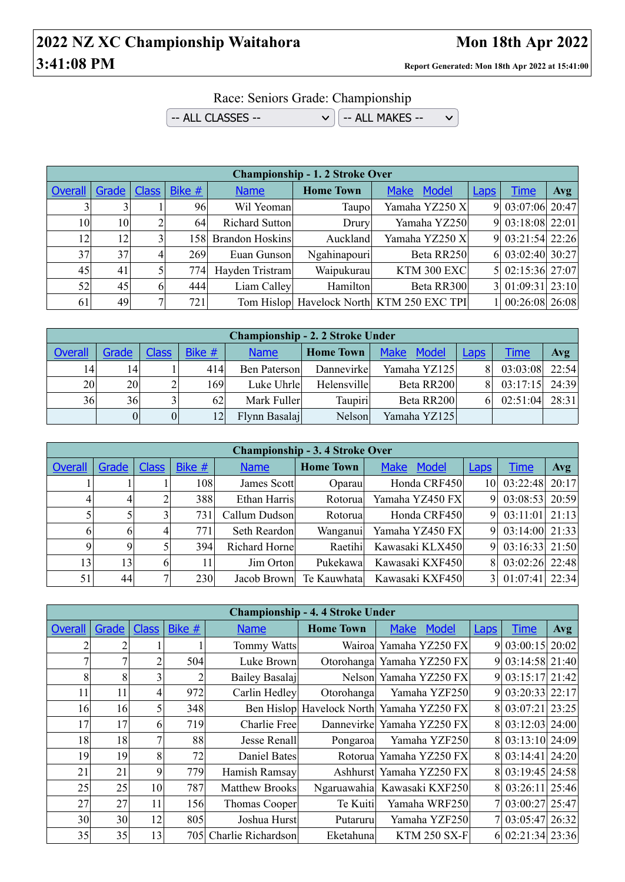## **2022 NZ XC Championship Waitahora** Mon 18th Apr 2022 **3:41:08 PM Report Generated: Mon 18th Apr 2022 at 15:41:00**

## Race: Seniors Grade: Championship

 $\sim$  ALL CLASSES --  $\sim$   $\sim$   $\sim$   $\sim$  ALL MAKES -- $\checkmark$ 

|         | <b>Championship - 1.2 Stroke Over</b> |   |                  |                        |                  |                                           |             |                  |     |  |  |  |
|---------|---------------------------------------|---|------------------|------------------------|------------------|-------------------------------------------|-------------|------------------|-----|--|--|--|
| Overall | Grade   Class                         |   | Bike $#$         | <b>Name</b>            | <b>Home Town</b> | <b>Make</b><br>Model                      | <b>Laps</b> | <b>Time</b>      | Avg |  |  |  |
|         |                                       |   | 96               | Wil Yeoman             | Taupo            | Yamaha YZ250 X                            |             | 9 03:07:06 20:47 |     |  |  |  |
| 10      | 10                                    |   | 64               | Richard Sutton         | Drury            | Yamaha YZ250                              |             | 9 03:18:08 22:01 |     |  |  |  |
| 12      | 12                                    |   | 158 <sub>l</sub> | <b>Brandon Hoskins</b> | Auckland         | Yamaha YZ250 X                            |             | 9 03:21:54 22:26 |     |  |  |  |
| 37      | 37                                    | 4 | 269              | Euan Gunson            | Ngahinapouri     | Beta RR250                                |             | 6 03:02:40 30:27 |     |  |  |  |
| 45      | 41                                    |   | 774              | Hayden Tristram        | Waipukurau       | <b>KTM 300 EXC</b>                        |             | 5 02:15:36 27:07 |     |  |  |  |
| 52      | 45                                    | 6 | 444              | Liam Calley            | Hamilton         | Beta RR300                                |             | 3 01:09:31 23:10 |     |  |  |  |
| 61      | 49                                    |   | 721              |                        |                  | Tom Hislop Havelock North KTM 250 EXC TPI |             | 1 00:26:08 26:08 |     |  |  |  |

| <b>Championship - 2. 2 Stroke Under</b> |                |              |        |               |                  |                             |             |             |       |  |  |
|-----------------------------------------|----------------|--------------|--------|---------------|------------------|-----------------------------|-------------|-------------|-------|--|--|
| <b>Overall</b>                          | Grade          | <b>Class</b> | Bike # | <b>Name</b>   | <b>Home Town</b> | <b>Model</b><br><b>Make</b> | <b>Laps</b> | <u>Time</u> | Avg   |  |  |
| 14                                      | 14             |              | 414    | Ben Paterson  | Dannevirke       | Yamaha YZ125                | 8           | 03:03:08    | 22:54 |  |  |
| 20                                      | 20             |              | 169    | Luke Uhrle    | Helensville      | Beta RR200                  | 81          | 03:17:15    | 24:39 |  |  |
| 36                                      | 36             | $\mathbf{R}$ | 62     | Mark Fuller   | Taupiri          | Beta RR200                  | 61          | 02:51:04    | 28:31 |  |  |
|                                         | $\overline{0}$ |              | 12     | Flynn Basalaj | Nelson           | Yamaha YZ125                |             |             |       |  |  |

|         | <b>Championship - 3.4 Stroke Over</b> |              |        |               |                  |                      |                |                  |            |  |  |  |
|---------|---------------------------------------|--------------|--------|---------------|------------------|----------------------|----------------|------------------|------------|--|--|--|
| Overall | Grade                                 | <b>Class</b> | Bike # | <b>Name</b>   | <b>Home Town</b> | <b>Make</b><br>Model | <b>Laps</b>    | <b>Time</b>      | <b>Avg</b> |  |  |  |
|         |                                       |              | 108    | James Scott   | Oparau           | Honda CRF450         | 10             | 03:22:48         | 20:17      |  |  |  |
|         |                                       |              | 388    | Ethan Harris  | Rotorual         | Yamaha YZ450 FX      | 9              | 03:08:53         | 20:59      |  |  |  |
|         |                                       | 3            | 731    | Callum Dudson | Rotorual         | Honda CRF450         | 9              | 03:11:01         | 21:13      |  |  |  |
| 6       | h                                     | 4            | 771    | Seth Reardon  | Wanganui         | Yamaha YZ450 FX      | 9              | $03:14:00$ 21:33 |            |  |  |  |
| Q       | Q                                     |              | 394    | Richard Horne | Raetihi          | Kawasaki KLX450      | 9              | $03:16:33$ 21:50 |            |  |  |  |
| 13      | 13                                    | 6            | 11     | Jim Orton     | Pukekawa         | Kawasaki KXF450      | 8              | 03:02:26         | 22:48      |  |  |  |
| 51      | 44                                    | 7            | 230    | Jacob Brown   | Te Kauwhatal     | Kawasaki KXF450      | 3 <sup>1</sup> | 01:07:41         | 22:34      |  |  |  |

|                |       |              |        |                       | <b>Championship - 4.4 Stroke Under</b> |                                           |             |                  |            |
|----------------|-------|--------------|--------|-----------------------|----------------------------------------|-------------------------------------------|-------------|------------------|------------|
| <b>Overall</b> | Grade | <b>Class</b> | Bike # | <b>Name</b>           | <b>Home Town</b>                       | <b>Make</b><br><b>Model</b>               | <b>Laps</b> | <b>Time</b>      | <b>Avg</b> |
| ⌒              |       |              |        | Tommy Watts           |                                        | Wairoa Yamaha YZ250 FX                    |             | 9 03:00:15 20:02 |            |
| ┑              |       |              | 504    | Luke Brown            |                                        | Otorohanga Yamaha YZ250 FX                |             | 9 03:14:58 21:40 |            |
| 8              | 8     |              |        | Bailey Basalaj        |                                        | Nelson Yamaha YZ250 FX                    |             | 9 03:15:17 21:42 |            |
| 11             | 11    | 41           | 972    | Carlin Hedley         | Otorohanga                             | Yamaha YZF250                             |             | 9 03:20:33 22:17 |            |
| 16             | 16    |              | 348    |                       |                                        | Ben Hislop Havelock North Yamaha YZ250 FX |             | 8 03:07:21 23:25 |            |
| 17             | 17    | 6            | 719    | Charlie Free          |                                        | Dannevirke Yamaha YZ250 FX                |             | 8 03:12:03 24:00 |            |
| 18             | 18    |              | 88     | Jesse Renall          | Pongaroa                               | Yamaha YZF250                             |             | 8 03:13:10 24:09 |            |
| 19             | 19    | 81           | 72     | Daniel Bates          |                                        | Rotorual Yamaha YZ250 FX                  |             | 8 03:14:41 24:20 |            |
| 21             | 21    | 9            | 779    | Hamish Ramsay         | Ashhurst                               | Yamaha YZ250 FX                           |             | 8 03:19:45 24:58 |            |
| 25             | 25    | 10           | 787    | <b>Matthew Brooks</b> | Ngaruawahia                            | Kawasaki KXF250                           |             | 8 03:26:11 25:46 |            |
| 27             | 27    | 11           | 156    | Thomas Cooper         | Te Kuiti                               | Yamaha WRF250                             |             | 7 03:00:27 25:47 |            |
| 30             | 30    | 12           | 805    | Joshua Hurst          | Putaruru                               | Yamaha YZF250                             |             | 7 03:05:47 26:32 |            |
| 35             | 35    | 13           | 705I   | Charlie Richardson    | Eketahuna                              | <b>KTM 250 SX-F</b>                       |             | 6 02:21:34 23:36 |            |